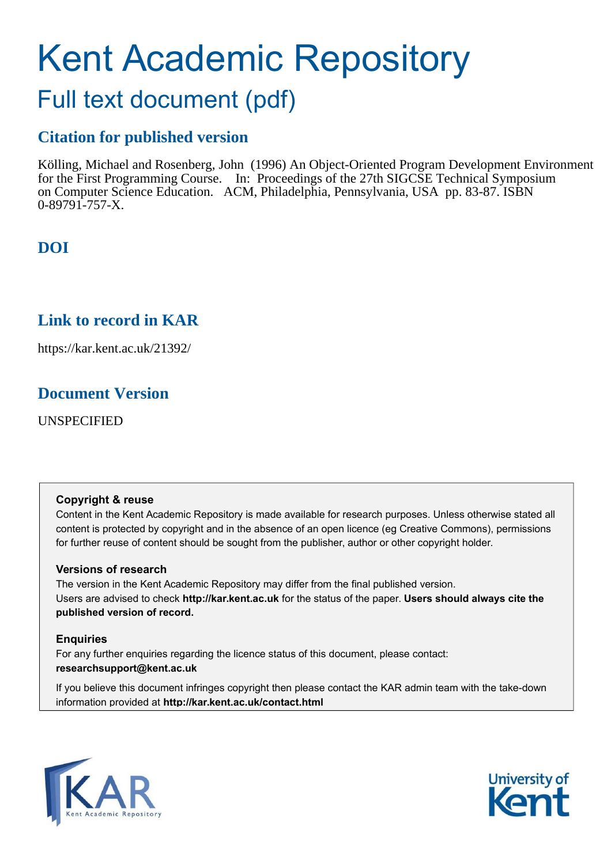# Kent Academic Repository

## Full text document (pdf)

## **Citation for published version**

Kölling, Michael and Rosenberg, John (1996) An Object-Oriented Program Development Environment for the First Programming Course. In: Proceedings of the 27th SIGCSE Technical Symposium on Computer Science Education. ACM, Philadelphia, Pennsylvania, USA pp. 83-87. ISBN 0-89791-757-X.

## **DOI**

## **Link to record in KAR**

https://kar.kent.ac.uk/21392/

## **Document Version**

UNSPECIFIED

#### **Copyright & reuse**

Content in the Kent Academic Repository is made available for research purposes. Unless otherwise stated all content is protected by copyright and in the absence of an open licence (eg Creative Commons), permissions for further reuse of content should be sought from the publisher, author or other copyright holder.

#### **Versions of research**

The version in the Kent Academic Repository may differ from the final published version. Users are advised to check **http://kar.kent.ac.uk** for the status of the paper. **Users should always cite the published version of record.**

#### **Enquiries**

For any further enquiries regarding the licence status of this document, please contact: **researchsupport@kent.ac.uk**

If you believe this document infringes copyright then please contact the KAR admin team with the take-down information provided at **http://kar.kent.ac.uk/contact.html**



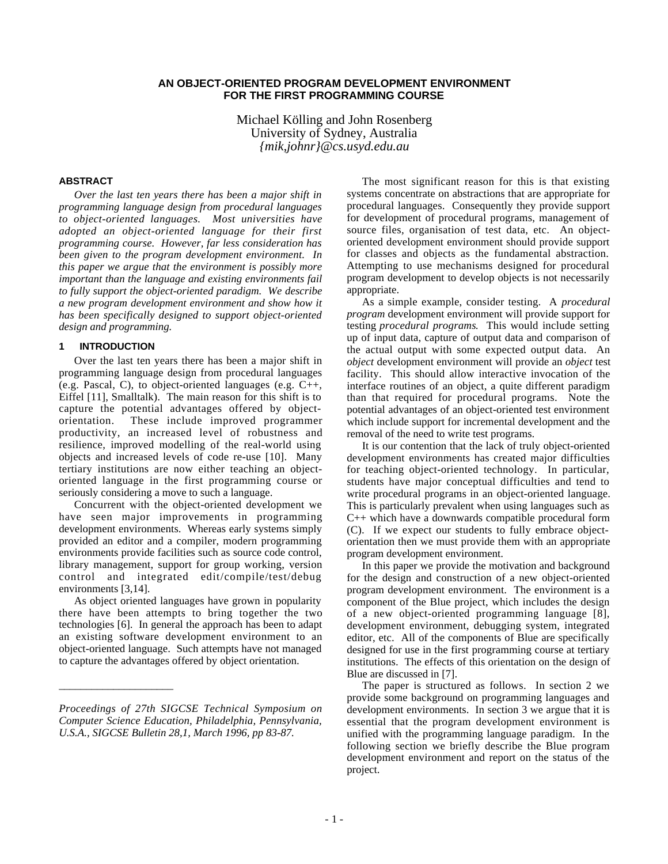#### **AN OBJECT-ORIENTED PROGRAM DEVELOPMENT ENVIRONMENT FOR THE FIRST PROGRAMMING COURSE**

Michael Kölling and John Rosenberg University of Sydney, Australia *{mik,johnr}@cs.usyd.edu.au*

#### **ABSTRACT**

*Over the last ten years there has been a major shift in programming language design from procedural languages to object-oriented languages. Most universities have adopted an object-oriented language for their first programming course. However, far less consideration has been given to the program development environment. In this paper we argue that the environment is possibly more important than the language and existing environments fail to fully support the object-oriented paradigm. We describe a new program development environment and show how it has been specifically designed to support object-oriented design and programming.*

#### **1 INTRODUCTION**

\_\_\_\_\_\_\_\_\_\_\_\_\_\_\_\_\_\_\_\_\_

Over the last ten years there has been a major shift in programming language design from procedural languages (e.g. Pascal, C), to object-oriented languages (e.g. C++, Eiffel [11], Smalltalk). The main reason for this shift is to capture the potential advantages offered by objectorientation. These include improved programmer productivity, an increased level of robustness and resilience, improved modelling of the real-world using objects and increased levels of code re-use [10]. Many tertiary institutions are now either teaching an objectoriented language in the first programming course or seriously considering a move to such a language.

Concurrent with the object-oriented development we have seen major improvements in programming development environments. Whereas early systems simply provided an editor and a compiler, modern programming environments provide facilities such as source code control, library management, support for group working, version control and integrated edit/compile/test/debug environments [3,14].

As object oriented languages have grown in popularity there have been attempts to bring together the two technologies [6]. In general the approach has been to adapt an existing software development environment to an object-oriented language. Such attempts have not managed to capture the advantages offered by object orientation.

The most significant reason for this is that existing systems concentrate on abstractions that are appropriate for procedural languages. Consequently they provide support for development of procedural programs, management of source files, organisation of test data, etc. An objectoriented development environment should provide support for classes and objects as the fundamental abstraction. Attempting to use mechanisms designed for procedural program development to develop objects is not necessarily appropriate.

As a simple example, consider testing. A *procedural program* development environment will provide support for testing *procedural programs*. This would include setting up of input data, capture of output data and comparison of the actual output with some expected output data. An *object* development environment will provide an *object* test facility. This should allow interactive invocation of the interface routines of an object, a quite different paradigm than that required for procedural programs. Note the potential advantages of an object-oriented test environment which include support for incremental development and the removal of the need to write test programs.

It is our contention that the lack of truly object-oriented development environments has created major difficulties for teaching object-oriented technology. In particular, students have major conceptual difficulties and tend to write procedural programs in an object-oriented language. This is particularly prevalent when using languages such as C++ which have a downwards compatible procedural form (C). If we expect our students to fully embrace objectorientation then we must provide them with an appropriate program development environment.

In this paper we provide the motivation and background for the design and construction of a new object-oriented program development environment. The environment is a component of the Blue project, which includes the design of a new object-oriented programming language [8], development environment, debugging system, integrated editor, etc. All of the components of Blue are specifically designed for use in the first programming course at tertiary institutions. The effects of this orientation on the design of Blue are discussed in [7].

The paper is structured as follows. In section 2 we provide some background on programming languages and development environments. In section 3 we argue that it is essential that the program development environment is unified with the programming language paradigm. In the following section we briefly describe the Blue program development environment and report on the status of the project.

*Proceedings of 27th SIGCSE Technical Symposium on Computer Science Education, Philadelphia, Pennsylvania, U.S.A., SIGCSE Bulletin 28,1, March 1996, pp 83-87.*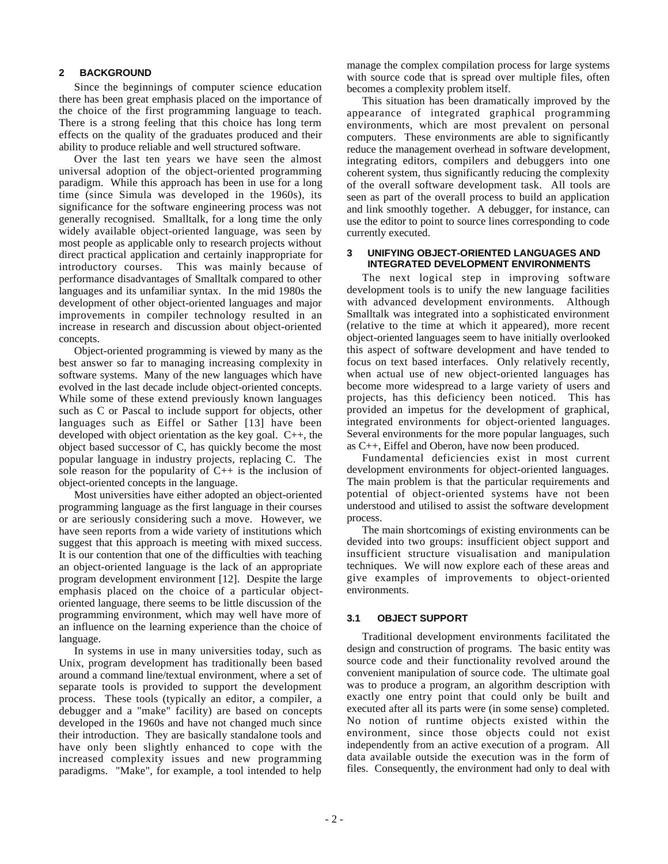#### **2 BACKGROUND**

Since the beginnings of computer science education there has been great emphasis placed on the importance of the choice of the first programming language to teach. There is a strong feeling that this choice has long term effects on the quality of the graduates produced and their ability to produce reliable and well structured software.

Over the last ten years we have seen the almost universal adoption of the object-oriented programming paradigm. While this approach has been in use for a long time (since Simula was developed in the 1960s), its significance for the software engineering process was not generally recognised. Smalltalk, for a long time the only widely available object-oriented language, was seen by most people as applicable only to research projects without direct practical application and certainly inappropriate for introductory courses. This was mainly because of performance disadvantages of Smalltalk compared to other languages and its unfamiliar syntax. In the mid 1980s the development of other object-oriented languages and major improvements in compiler technology resulted in an increase in research and discussion about object-oriented concepts.

Object-oriented programming is viewed by many as the best answer so far to managing increasing complexity in software systems. Many of the new languages which have evolved in the last decade include object-oriented concepts. While some of these extend previously known languages such as C or Pascal to include support for objects, other languages such as Eiffel or Sather [13] have been developed with object orientation as the key goal. C++, the object based successor of C, has quickly become the most popular language in industry projects, replacing C. The sole reason for the popularity of  $C++$  is the inclusion of object-oriented concepts in the language.

Most universities have either adopted an object-oriented programming language as the first language in their courses or are seriously considering such a move. However, we have seen reports from a wide variety of institutions which suggest that this approach is meeting with mixed success. It is our contention that one of the difficulties with teaching an object-oriented language is the lack of an appropriate program development environment [12]. Despite the large emphasis placed on the choice of a particular objectoriented language, there seems to be little discussion of the programming environment, which may well have more of an influence on the learning experience than the choice of language.

In systems in use in many universities today, such as Unix, program development has traditionally been based around a command line/textual environment, where a set of separate tools is provided to support the development process. These tools (typically an editor, a compiler, a debugger and a "make" facility) are based on concepts developed in the 1960s and have not changed much since their introduction. They are basically standalone tools and have only been slightly enhanced to cope with the increased complexity issues and new programming paradigms. "Make", for example, a tool intended to help

manage the complex compilation process for large systems with source code that is spread over multiple files, often becomes a complexity problem itself.

This situation has been dramatically improved by the appearance of integrated graphical programming environments, which are most prevalent on personal computers. These environments are able to significantly reduce the management overhead in software development, integrating editors, compilers and debuggers into one coherent system, thus significantly reducing the complexity of the overall software development task. All tools are seen as part of the overall process to build an application and link smoothly together. A debugger, for instance, can use the editor to point to source lines corresponding to code currently executed.

#### **3 UNIFYING OBJECT-ORIENTED LANGUAGES AND INTEGRATED DEVELOPMENT ENVIRONMENTS**

The next logical step in improving software development tools is to unify the new language facilities with advanced development environments. Although Smalltalk was integrated into a sophisticated environment (relative to the time at which it appeared), more recent object-oriented languages seem to have initially overlooked this aspect of software development and have tended to focus on text based interfaces. Only relatively recently, when actual use of new object-oriented languages has become more widespread to a large variety of users and projects, has this deficiency been noticed. This has provided an impetus for the development of graphical, integrated environments for object-oriented languages. Several environments for the more popular languages, such as C++, Eiffel and Oberon, have now been produced.

Fundamental deficiencies exist in most current development environments for object-oriented languages. The main problem is that the particular requirements and potential of object-oriented systems have not been understood and utilised to assist the software development process.

The main shortcomings of existing environments can be devided into two groups: insufficient object support and insufficient structure visualisation and manipulation techniques. We will now explore each of these areas and give examples of improvements to object-oriented environments.

#### **3.1 OBJECT SUPPORT**

Traditional development environments facilitated the design and construction of programs. The basic entity was source code and their functionality revolved around the convenient manipulation of source code. The ultimate goal was to produce a program, an algorithm description with exactly one entry point that could only be built and executed after all its parts were (in some sense) completed. No notion of runtime objects existed within the environment, since those objects could not exist independently from an active execution of a program. All data available outside the execution was in the form of files. Consequently, the environment had only to deal with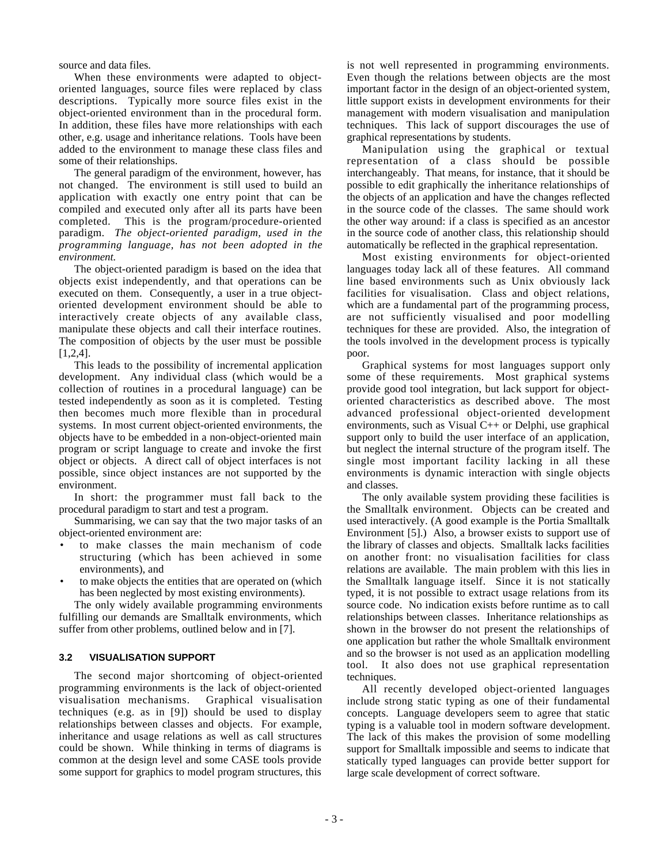source and data files.

When these environments were adapted to objectoriented languages, source files were replaced by class descriptions. Typically more source files exist in the object-oriented environment than in the procedural form. In addition, these files have more relationships with each other, e.g. usage and inheritance relations. Tools have been added to the environment to manage these class files and some of their relationships.

The general paradigm of the environment, however, has not changed. The environment is still used to build an application with exactly one entry point that can be compiled and executed only after all its parts have been completed. This is the program/procedure-oriented paradigm. *The object-oriented paradigm, used in the programming language, has not been adopted in the environment.*

The object-oriented paradigm is based on the idea that objects exist independently, and that operations can be executed on them. Consequently, a user in a true objectoriented development environment should be able to interactively create objects of any available class, manipulate these objects and call their interface routines. The composition of objects by the user must be possible [1,2,4].

This leads to the possibility of incremental application development. Any individual class (which would be a collection of routines in a procedural language) can be tested independently as soon as it is completed. Testing then becomes much more flexible than in procedural systems. In most current object-oriented environments, the objects have to be embedded in a non-object-oriented main program or script language to create and invoke the first object or objects. A direct call of object interfaces is not possible, since object instances are not supported by the environment.

In short: the programmer must fall back to the procedural paradigm to start and test a program.

Summarising, we can say that the two major tasks of an object-oriented environment are:

- to make classes the main mechanism of code structuring (which has been achieved in some environments), and
- to make objects the entities that are operated on (which has been neglected by most existing environments).

The only widely available programming environments fulfilling our demands are Smalltalk environments, which suffer from other problems, outlined below and in [7].

#### **3.2 VISUALISATION SUPPORT**

The second major shortcoming of object-oriented programming environments is the lack of object-oriented visualisation mechanisms. Graphical visualisation techniques (e.g. as in [9]) should be used to display relationships between classes and objects. For example, inheritance and usage relations as well as call structures could be shown. While thinking in terms of diagrams is common at the design level and some CASE tools provide some support for graphics to model program structures, this

is not well represented in programming environments. Even though the relations between objects are the most important factor in the design of an object-oriented system, little support exists in development environments for their management with modern visualisation and manipulation techniques. This lack of support discourages the use of graphical representations by students.

Manipulation using the graphical or textual representation of a class should be possible interchangeably. That means, for instance, that it should be possible to edit graphically the inheritance relationships of the objects of an application and have the changes reflected in the source code of the classes. The same should work the other way around: if a class is specified as an ancestor in the source code of another class, this relationship should automatically be reflected in the graphical representation.

Most existing environments for object-oriented languages today lack all of these features. All command line based environments such as Unix obviously lack facilities for visualisation. Class and object relations, which are a fundamental part of the programming process, are not sufficiently visualised and poor modelling techniques for these are provided. Also, the integration of the tools involved in the development process is typically poor.

Graphical systems for most languages support only some of these requirements. Most graphical systems provide good tool integration, but lack support for objectoriented characteristics as described above. The most advanced professional object-oriented development environments, such as Visual  $C++$  or Delphi, use graphical support only to build the user interface of an application, but neglect the internal structure of the program itself. The single most important facility lacking in all these environments is dynamic interaction with single objects and classes.

The only available system providing these facilities is the Smalltalk environment. Objects can be created and used interactively. (A good example is the Portia Smalltalk Environment [5].) Also, a browser exists to support use of the library of classes and objects. Smalltalk lacks facilities on another front: no visualisation facilities for class relations are available. The main problem with this lies in the Smalltalk language itself. Since it is not statically typed, it is not possible to extract usage relations from its source code. No indication exists before runtime as to call relationships between classes. Inheritance relationships as shown in the browser do not present the relationships of one application but rather the whole Smalltalk environment and so the browser is not used as an application modelling tool. It also does not use graphical representation techniques.

All recently developed object-oriented languages include strong static typing as one of their fundamental concepts. Language developers seem to agree that static typing is a valuable tool in modern software development. The lack of this makes the provision of some modelling support for Smalltalk impossible and seems to indicate that statically typed languages can provide better support for large scale development of correct software.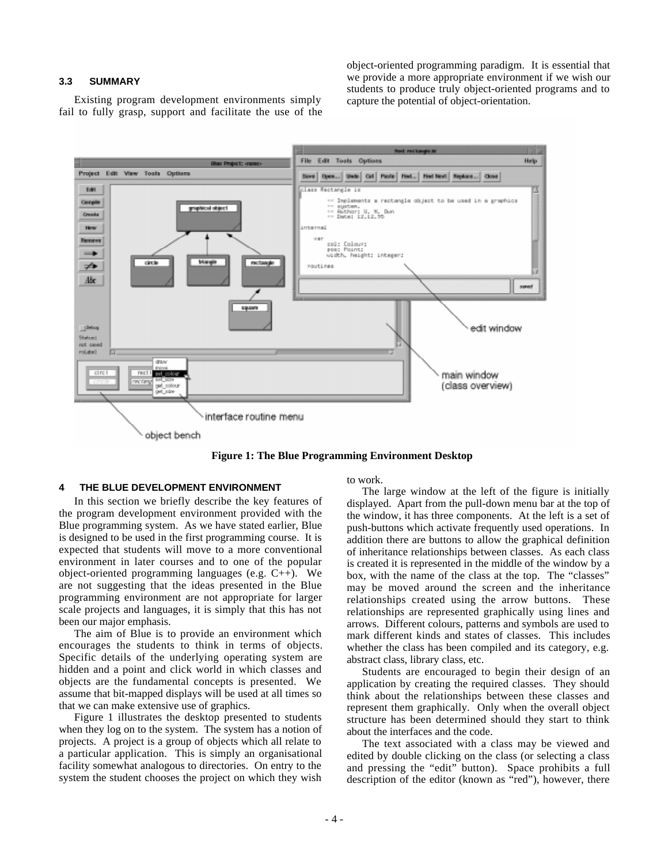#### **3.3 SUMMARY**

Existing program development environments simply fail to fully grasp, support and facilitate the use of the

object-oriented programming paradigm. It is essential that we provide a more appropriate environment if we wish our students to produce truly object-oriented programs and to capture the potential of object-orientation.



**Figure 1: The Blue Programming Environment Desktop**

#### **4 THE BLUE DEVELOPMENT ENVIRONMENT**

In this section we briefly describe the key features of the program development environment provided with the Blue programming system. As we have stated earlier, Blue is designed to be used in the first programming course. It is expected that students will move to a more conventional environment in later courses and to one of the popular object-oriented programming languages (e.g. C++). We are not suggesting that the ideas presented in the Blue programming environment are not appropriate for larger scale projects and languages, it is simply that this has not been our major emphasis.

The aim of Blue is to provide an environment which encourages the students to think in terms of objects. Specific details of the underlying operating system are hidden and a point and click world in which classes and objects are the fundamental concepts is presented. We assume that bit-mapped displays will be used at all times so that we can make extensive use of graphics.

Figure 1 illustrates the desktop presented to students when they log on to the system. The system has a notion of projects. A project is a group of objects which all relate to a particular application. This is simply an organisational facility somewhat analogous to directories. On entry to the system the student chooses the project on which they wish

to work.

The large window at the left of the figure is initially displayed. Apart from the pull-down menu bar at the top of the window, it has three components. At the left is a set of push-buttons which activate frequently used operations. In addition there are buttons to allow the graphical definition of inheritance relationships between classes. As each class is created it is represented in the middle of the window by a box, with the name of the class at the top. The "classes" may be moved around the screen and the inheritance relationships created using the arrow buttons. These relationships are represented graphically using lines and arrows. Different colours, patterns and symbols are used to mark different kinds and states of classes. This includes whether the class has been compiled and its category, e.g. abstract class, library class, etc.

Students are encouraged to begin their design of an application by creating the required classes. They should think about the relationships between these classes and represent them graphically. Only when the overall object structure has been determined should they start to think about the interfaces and the code.

The text associated with a class may be viewed and edited by double clicking on the class (or selecting a class and pressing the "edit" button). Space prohibits a full description of the editor (known as "red"), however, there